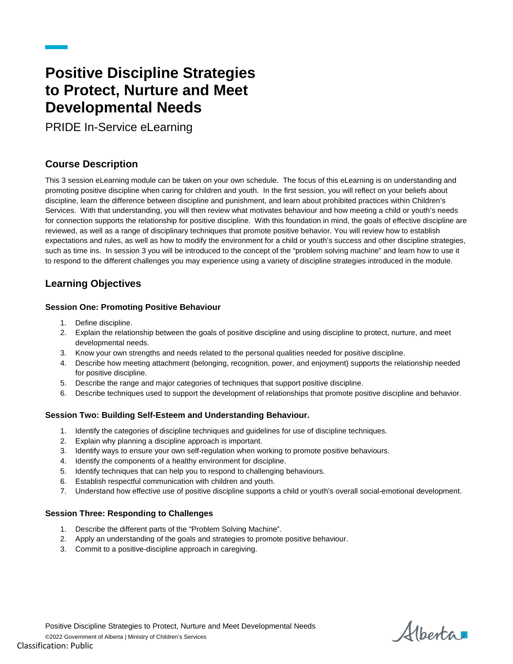## **Positive Discipline Strategies to Protect, Nurture and Meet Developmental Needs**

PRIDE In-Service eLearning

## **Course Description**

This 3 session eLearning module can be taken on your own schedule. The focus of this eLearning is on understanding and promoting positive discipline when caring for children and youth. In the first session, you will reflect on your beliefs about discipline, learn the difference between discipline and punishment, and learn about prohibited practices within Children's Services. With that understanding, you will then review what motivates behaviour and how meeting a child or youth's needs for connection supports the relationship for positive discipline. With this foundation in mind, the goals of effective discipline are reviewed, as well as a range of disciplinary techniques that promote positive behavior. You will review how to establish expectations and rules, as well as how to modify the environment for a child or youth's success and other discipline strategies, such as time ins. In session 3 you will be introduced to the concept of the "problem solving machine" and learn how to use it to respond to the different challenges you may experience using a variety of discipline strategies introduced in the module.

## **Learning Objectives**

## **Session One: Promoting Positive Behaviour**

- 1. Define discipline.
- 2. Explain the relationship between the goals of positive discipline and using discipline to protect, nurture, and meet developmental needs.
- 3. Know your own strengths and needs related to the personal qualities needed for positive discipline.
- 4. Describe how meeting attachment (belonging, recognition, power, and enjoyment) supports the relationship needed for positive discipline.
- 5. Describe the range and major categories of techniques that support positive discipline.
- 6. Describe techniques used to support the development of relationships that promote positive discipline and behavior.

### **Session Two: Building Self-Esteem and Understanding Behaviour.**

- 1. Identify the categories of discipline techniques and guidelines for use of discipline techniques.
- 2. Explain why planning a discipline approach is important.
- 3. Identify ways to ensure your own self-regulation when working to promote positive behaviours.
- 4. Identify the components of a healthy environment for discipline.
- 5. Identify techniques that can help you to respond to challenging behaviours.
- 6. Establish respectful communication with children and youth.
- 7. Understand how effective use of positive discipline supports a child or youth's overall social-emotional development.

### **Session Three: Responding to Challenges**

- 1. Describe the different parts of the "Problem Solving Machine".
- 2. Apply an understanding of the goals and strategies to promote positive behaviour.
- 3. Commit to a positive-discipline approach in caregiving.

Alberta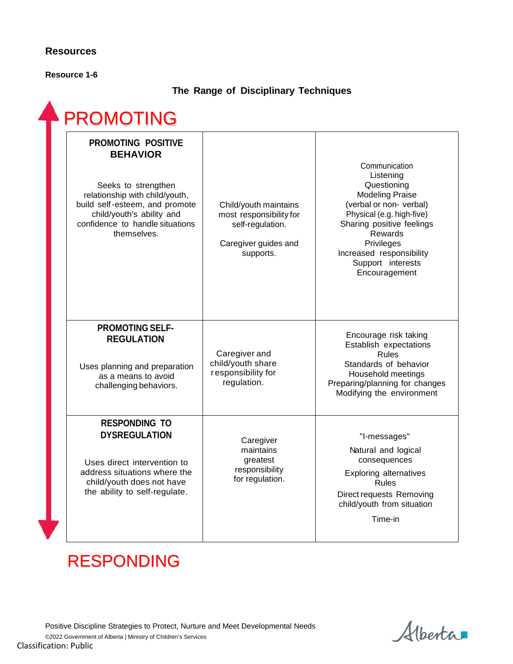## **Resources**

**Resource 1-6**

## **The Range of Disciplinary Techniques**

| <b>PROMOTING POSITIVE</b><br><b>BEHAVIOR</b><br>Seeks to strengthen<br>relationship with child/youth,<br>build self-esteem, and promote                                   | Child/youth maintains                                                            | Communication<br>Listening<br>Questioning<br><b>Modeling Praise</b><br>(verbal or non-verbal)                                                                                 |
|---------------------------------------------------------------------------------------------------------------------------------------------------------------------------|----------------------------------------------------------------------------------|-------------------------------------------------------------------------------------------------------------------------------------------------------------------------------|
| child/youth's ability and<br>confidence to handle situations<br>themselves.                                                                                               | most responsibility for<br>self-regulation.<br>Caregiver guides and<br>supports. | Physical (e.g. high-five)<br>Sharing positive feelings<br>Rewards<br>Privileges<br>Increased responsibility<br>Support interests<br>Encouragement                             |
| <b>PROMOTING SELF-</b><br><b>REGULATION</b><br>Uses planning and preparation<br>as a means to avoid<br>challenging behaviors.                                             | Caregiver and<br>child/youth share<br>responsibility for<br>regulation.          | Encourage risk taking<br>Establish expectations<br><b>Rules</b><br>Standards of behavior<br>Household meetings<br>Preparing/planning for changes<br>Modifying the environment |
| <b>RESPONDING TO</b><br><b>DYSREGULATION</b><br>Uses direct intervention to<br>address situations where the<br>child/youth does not have<br>the ability to self-regulate. | Caregiver<br>maintains<br>greatest<br>responsibility<br>for regulation.          | "I-messages"<br>Natural and logical<br>consequences<br><b>Exploring alternatives</b><br><b>Rules</b><br>Direct requests Removing<br>child/youth from situation<br>Time-in     |

# RESPONDING

Alberta